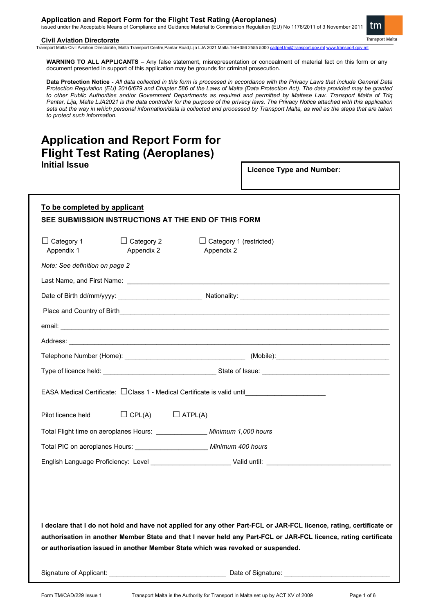issued under the Acceptable Means of Compliance and Guidance Material to Commission Regulation (EU) No 1178/2011 of 3 November 2011 tm

**Transport Malta** 

#### **Civil Aviation Directorate**

Transport Malta-Civil Aviation Directorate, Malta Transport Centre,Pantar Road,Lija LJA 2021 Malta.Tel:+356 2555 5000 [cadpel.tm@transport.gov.mt](mailto:cadpel.tm@transport.gov.mt) [www.transport.gov.mt](http://www.transport.gov.mt/)

**WARNING TO ALL APPLICANTS** – Any false statement, misrepresentation or concealment of material fact on this form or any document presented in support of this application may be grounds for criminal prosecution.

**Data Protection Notice -** *All data collected in this form is processed in accordance with the Privacy Laws that include General Data Protection Regulation (EU) 2016/679 and Chapter 586 of the Laws of Malta (Data Protection Act). The data provided may be granted to other Public Authorities and/or Government Departments as required and permitted by Maltese Law. Transport Malta of Triq Pantar, Lija, Malta LJA2021 is the data controller for the purpose of the privacy laws. The Privacy Notice attached with this application sets out the way in which personal information/data is collected and processed by Transport Malta, as well as the steps that are taken to protect such information.*

## **Application and Report Form for Flight Test Rating (Aeroplanes) Initial Issue**

**Licence Type and Number:** 

| To be completed by applicant<br>SEE SUBMISSION INSTRUCTIONS AT THE END OF THIS FORM                                                                                                                                                                                                                                       |                                 |                              |                                              |                                                                                                                                                                                                                                |  |  |
|---------------------------------------------------------------------------------------------------------------------------------------------------------------------------------------------------------------------------------------------------------------------------------------------------------------------------|---------------------------------|------------------------------|----------------------------------------------|--------------------------------------------------------------------------------------------------------------------------------------------------------------------------------------------------------------------------------|--|--|
| $\Box$ Category 1<br>Appendix 1                                                                                                                                                                                                                                                                                           | $\Box$ Category 2<br>Appendix 2 |                              | $\Box$ Category 1 (restricted)<br>Appendix 2 |                                                                                                                                                                                                                                |  |  |
| Note: See definition on page 2                                                                                                                                                                                                                                                                                            |                                 |                              |                                              |                                                                                                                                                                                                                                |  |  |
|                                                                                                                                                                                                                                                                                                                           |                                 |                              |                                              |                                                                                                                                                                                                                                |  |  |
|                                                                                                                                                                                                                                                                                                                           |                                 |                              |                                              |                                                                                                                                                                                                                                |  |  |
|                                                                                                                                                                                                                                                                                                                           |                                 |                              |                                              |                                                                                                                                                                                                                                |  |  |
|                                                                                                                                                                                                                                                                                                                           |                                 |                              |                                              | email: with a state of the contract of the contract of the contract of the contract of the contract of the contract of the contract of the contract of the contract of the contract of the contract of the contract of the con |  |  |
|                                                                                                                                                                                                                                                                                                                           |                                 |                              |                                              |                                                                                                                                                                                                                                |  |  |
|                                                                                                                                                                                                                                                                                                                           |                                 |                              |                                              |                                                                                                                                                                                                                                |  |  |
|                                                                                                                                                                                                                                                                                                                           |                                 |                              |                                              | Type of licence held: example and the state of state of Issue:                                                                                                                                                                 |  |  |
| EASA Medical Certificate: CClass 1 - Medical Certificate is valid until_____________________________                                                                                                                                                                                                                      |                                 |                              |                                              |                                                                                                                                                                                                                                |  |  |
| Pilot licence held                                                                                                                                                                                                                                                                                                        |                                 | $\Box$ CPL(A) $\Box$ ATPL(A) |                                              |                                                                                                                                                                                                                                |  |  |
| Total Flight time on aeroplanes Hours: _________________ Minimum 1,000 hours                                                                                                                                                                                                                                              |                                 |                              |                                              |                                                                                                                                                                                                                                |  |  |
| Total PIC on aeroplanes Hours: _______________________ Minimum 400 hours                                                                                                                                                                                                                                                  |                                 |                              |                                              |                                                                                                                                                                                                                                |  |  |
|                                                                                                                                                                                                                                                                                                                           |                                 |                              |                                              | English Language Proficiency: Level ________________________Valid until: ___________________________                                                                                                                           |  |  |
|                                                                                                                                                                                                                                                                                                                           |                                 |                              |                                              |                                                                                                                                                                                                                                |  |  |
| I declare that I do not hold and have not applied for any other Part-FCL or JAR-FCL licence, rating, certificate or<br>authorisation in another Member State and that I never held any Part-FCL or JAR-FCL licence, rating certificate<br>or authorisation issued in another Member State which was revoked or suspended. |                                 |                              |                                              |                                                                                                                                                                                                                                |  |  |

Signature of Applicant: \_\_\_\_\_\_\_\_\_\_\_\_\_\_\_\_\_\_\_\_\_\_\_\_\_\_\_\_\_\_\_\_ Date of Signature: \_\_\_\_\_\_\_\_\_\_\_\_\_\_\_\_\_\_\_\_\_\_\_\_\_\_\_\_\_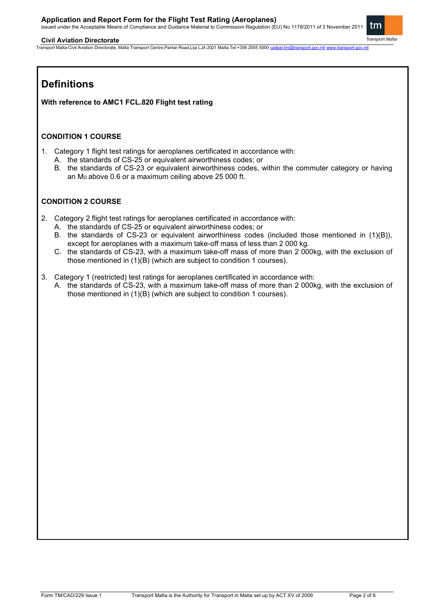issued under the Acceptable Means of Compliance and Guidance Material to Commission Regulation (EU) No 1178/2011 of 3 November 2011

#### **Civil Aviation Directorate**

Transport Malta-Civil Aviation Directorate, Malta Transport Centre,Pantar Road,Lija LJA 2021 Malta.Tel:+356 2555 5000 [cadpel.tm@transport.gov.mt](mailto:cadpel.tm@transport.gov.mt) www.tran

# **Definitions**

**With reference to AMC1 FCL.820 Flight test rating**

#### **CONDITION 1 COURSE**

- 1. Category 1 flight test ratings for aeroplanes certificated in accordance with:
	- A. the standards of CS-25 or equivalent airworthiness codes; or
	- B. the standards of CS-23 or equivalent airworthiness codes, within the commuter category or having an M<sub>D</sub> above 0.6 or a maximum ceiling above 25 000 ft.

### **CONDITION 2 COURSE**

- 2. Category 2 flight test ratings for aeroplanes certificated in accordance with:
	- A. the standards of CS-25 or equivalent airworthiness codes; or
	- B. the standards of CS-23 or equivalent airworthiness codes (included those mentioned in (1)(B)), except for aeroplanes with a maximum take-off mass of less than 2 000 kg.
	- C. the standards of CS-23, with a maximum take-off mass of more than 2 000kg, with the exclusion of those mentioned in (1)(B) (which are subject to condition 1 courses).
- 3. Category 1 (restricted) test ratings for aeroplanes certificated in accordance with:
	- A. the standards of CS-23, with a maximum take-off mass of more than 2 000kg, with the exclusion of those mentioned in (1)(B) (which are subject to condition 1 courses).



**Transport Malta**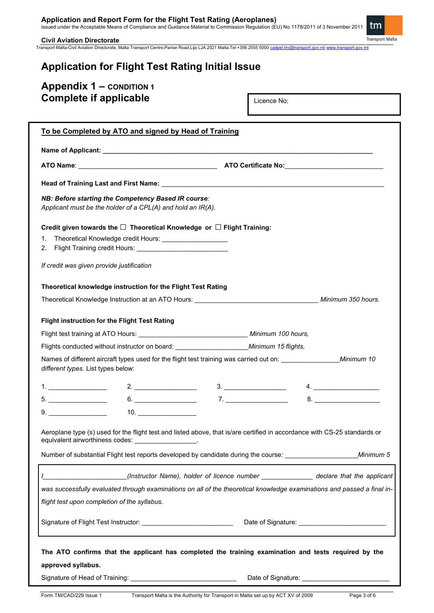**Application and Report Form for the Flight Test Rating (Aeroplanes)** issued under the Acceptable Means of Compliance and Guidance Material to Commission Regulation (EU) No 1178/2011 of 3 November 2011 **Transport Malta** 

#### **Civil Aviation Directorate**

Transport Malta-Civil Aviation Directorate, Malta Transport Centre,Pantar Road,Lija LJA 2021 Malta.Tel:+356 2555 5000 [cadpel.tm@transport.gov.mt](mailto:cadpel.tm@transport.gov.mt) [www.transport.gov.mt](http://www.transport.gov.mt/)

# **Application for Flight Test Rating Initial Issue**

# **Appendix 1 – CONDITION 1 Complete if applicable**

Licence No:

| To be Completed by ATO and signed by Head of Training                                                                                                                                                                                                              |  |  |  |  |  |  |
|--------------------------------------------------------------------------------------------------------------------------------------------------------------------------------------------------------------------------------------------------------------------|--|--|--|--|--|--|
|                                                                                                                                                                                                                                                                    |  |  |  |  |  |  |
|                                                                                                                                                                                                                                                                    |  |  |  |  |  |  |
|                                                                                                                                                                                                                                                                    |  |  |  |  |  |  |
| NB: Before starting the Competency Based IR course:<br>Applicant must be the holder of a CPL(A) and hold an IR(A).                                                                                                                                                 |  |  |  |  |  |  |
| Credit given towards the $\square$ Theoretical Knowledge or $\square$ Flight Training:<br>Theoretical Knowledge credit Hours: ______________________<br>1.<br>2.                                                                                                   |  |  |  |  |  |  |
| If credit was given provide justification<br>Theoretical knowledge instruction for the Flight Test Rating                                                                                                                                                          |  |  |  |  |  |  |
| <b>Flight instruction for the Flight Test Rating</b><br>Flights conducted without instructor on board: _________________________Minimum 15 flights,                                                                                                                |  |  |  |  |  |  |
| different types. List types below:                                                                                                                                                                                                                                 |  |  |  |  |  |  |
| 2. $\frac{1}{2}$ 3.<br>4.                                                                                                                                                                                                                                          |  |  |  |  |  |  |
| $6. \qquad \qquad 7. \qquad \qquad 7. \qquad \qquad 8. \qquad \qquad$<br>$5. \underline{\hspace{2cm}}$                                                                                                                                                             |  |  |  |  |  |  |
| 10.<br>9.                                                                                                                                                                                                                                                          |  |  |  |  |  |  |
| Aeroplane type (s) used for the flight test and listed above, that is/are certified in accordance with CS-25 standards or<br>equivalent airworthiness codes: __________________.                                                                                   |  |  |  |  |  |  |
| Number of substantial Flight test reports developed by candidate during the course:<br>Minimum 5                                                                                                                                                                   |  |  |  |  |  |  |
| (Instructor Name), holder of licence number ________________ declare that the applicant<br>was successfully evaluated through examinations on all of the theoretical knowledge examinations and passed a final in-<br>flight test upon completion of the syllabus. |  |  |  |  |  |  |
| Signature of Flight Test Instructor: _______________________________                                                                                                                                                                                               |  |  |  |  |  |  |
| The ATO confirms that the applicant has completed the training examination and tests required by the<br>approved syllabus.<br>Signature of Head of Training:<br>Date of Signature:                                                                                 |  |  |  |  |  |  |

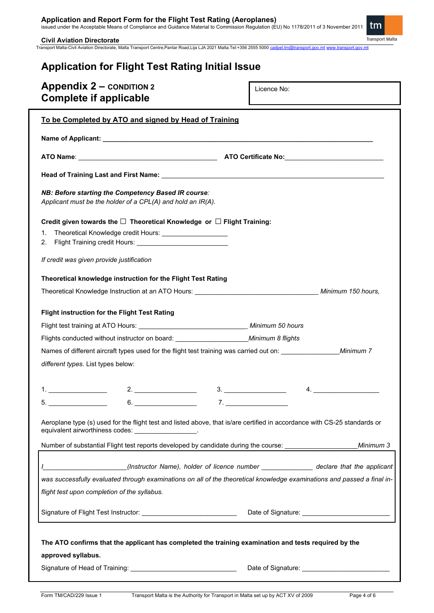**Application and Report Form for the Flight Test Rating (Aeroplanes)** issued under the Acceptable Means of Compliance and Guidance Material to Commission Regulation (EU) No 1178/2011 of 3 November 2011

**Civil Aviation Directorate** 

Transport Malta-Civil Aviation Directorate, Malta Transport Centre,Pantar Road,Lija LJA 2021 Malta.Tel:+356 2555 5000 <u>[cadpel.tm@transport.gov.mt](mailto:cadpel.tm@transport.gov.mt) [www.transport.gov.mt](http://www.transport.gov.mt/)</u>

# tm

**Transport Malta** 

| <b>Application for Flight Test Rating Initial Issue</b>          |             |  |  |  |  |
|------------------------------------------------------------------|-------------|--|--|--|--|
| <b>Appendix 2 – CONDITION 2</b><br><b>Complete if applicable</b> | Licence No: |  |  |  |  |

| To be Completed by ATO and signed by Head of Training                                                                                                                                                               |                                                                                                                                                                                                                   |  |  |  |  |  |
|---------------------------------------------------------------------------------------------------------------------------------------------------------------------------------------------------------------------|-------------------------------------------------------------------------------------------------------------------------------------------------------------------------------------------------------------------|--|--|--|--|--|
|                                                                                                                                                                                                                     |                                                                                                                                                                                                                   |  |  |  |  |  |
|                                                                                                                                                                                                                     |                                                                                                                                                                                                                   |  |  |  |  |  |
|                                                                                                                                                                                                                     |                                                                                                                                                                                                                   |  |  |  |  |  |
| NB: Before starting the Competency Based IR course:<br>Applicant must be the holder of a CPL(A) and hold an IR(A).                                                                                                  |                                                                                                                                                                                                                   |  |  |  |  |  |
| Credit given towards the $\square$ Theoretical Knowledge or $\square$ Flight Training:<br>Theoretical Knowledge credit Hours: _____________________<br>1.<br>2.                                                     |                                                                                                                                                                                                                   |  |  |  |  |  |
| If credit was given provide justification                                                                                                                                                                           |                                                                                                                                                                                                                   |  |  |  |  |  |
| Theoretical knowledge instruction for the Flight Test Rating                                                                                                                                                        |                                                                                                                                                                                                                   |  |  |  |  |  |
|                                                                                                                                                                                                                     |                                                                                                                                                                                                                   |  |  |  |  |  |
| <b>Flight instruction for the Flight Test Rating</b>                                                                                                                                                                |                                                                                                                                                                                                                   |  |  |  |  |  |
|                                                                                                                                                                                                                     |                                                                                                                                                                                                                   |  |  |  |  |  |
| Flights conducted without instructor on board: _________________________________Minimum 8 flights                                                                                                                   |                                                                                                                                                                                                                   |  |  |  |  |  |
| Names of different aircraft types used for the flight test training was carried out on: Minimum 7                                                                                                                   |                                                                                                                                                                                                                   |  |  |  |  |  |
| different types. List types below:                                                                                                                                                                                  |                                                                                                                                                                                                                   |  |  |  |  |  |
|                                                                                                                                                                                                                     |                                                                                                                                                                                                                   |  |  |  |  |  |
|                                                                                                                                                                                                                     | 4.                                                                                                                                                                                                                |  |  |  |  |  |
| 5. ___________________                                                                                                                                                                                              | $7.$ $\overline{\phantom{a}}$                                                                                                                                                                                     |  |  |  |  |  |
| Aeroplane type (s) used for the flight test and listed above, that is/are certified in accordance with CS-25 standards or<br>equivalent airworthiness codes:<br>the contract of the contract of the contract of the |                                                                                                                                                                                                                   |  |  |  |  |  |
| Number of substantial Flight test reports developed by candidate during the course: ____________                                                                                                                    | Minimum 3                                                                                                                                                                                                         |  |  |  |  |  |
| flight test upon completion of the syllabus.                                                                                                                                                                        | (Instructor Name), holder of licence number _______________ declare that the applicant<br>was successfully evaluated through examinations on all of the theoretical knowledge examinations and passed a final in- |  |  |  |  |  |
|                                                                                                                                                                                                                     |                                                                                                                                                                                                                   |  |  |  |  |  |
| The ATO confirms that the applicant has completed the training examination and tests required by the<br>approved syllabus.                                                                                          |                                                                                                                                                                                                                   |  |  |  |  |  |
| Signature of Head of Training:                                                                                                                                                                                      | Date of Signature:                                                                                                                                                                                                |  |  |  |  |  |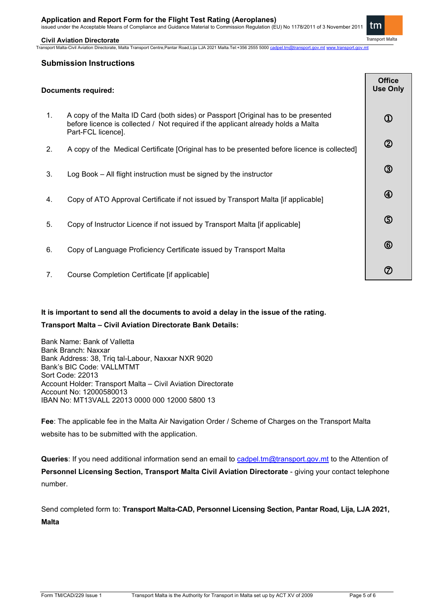issued under the Acceptable Means of Compliance and Guidance Material to Commission Regulation (EU) No 1178/2011 of 3 November 2011 tm

**Transport Malta** 

**Civil Aviation Directorate**  Transport Malta-Civil Aviation Directorate, Malta Transport Centre,Pantar Road,Lija LJA 2021 Malta.Tel:+356 2555 5000 [cadpel.tm@transport.gov.mt](mailto:cadpel.tm@transport.gov.mt) www.tr

#### **Submission Instructions**

| <b>Documents required:</b> |                                                                                                                                                                                               |                             |
|----------------------------|-----------------------------------------------------------------------------------------------------------------------------------------------------------------------------------------------|-----------------------------|
| 1.                         | A copy of the Malta ID Card (both sides) or Passport [Original has to be presented<br>before licence is collected / Not required if the applicant already holds a Malta<br>Part-FCL licence]. | $^\mathrm{\textregistered}$ |
| 2.                         | A copy of the Medical Certificate [Original has to be presented before licence is collected]                                                                                                  | $^{\circledR}$              |
| 3.                         | Log Book – All flight instruction must be signed by the instructor                                                                                                                            | ③                           |
| 4.                         | Copy of ATO Approval Certificate if not issued by Transport Malta [if applicable]                                                                                                             | $^{\circledR}$              |
| 5.                         | Copy of Instructor Licence if not issued by Transport Malta [if applicable]                                                                                                                   | $\circledS$                 |
| 6.                         | Copy of Language Proficiency Certificate issued by Transport Malta                                                                                                                            | $\circledB$                 |
| 7.                         | Course Completion Certificate [if applicable]                                                                                                                                                 | ⑦                           |

#### **It is important to send all the documents to avoid a delay in the issue of the rating.**

#### **Transport Malta – Civil Aviation Directorate Bank Details:**

Bank Name: Bank of Valletta Bank Branch: Naxxar Bank Address: 38, Triq tal-Labour, Naxxar NXR 9020 Bank's BIC Code: VALLMTMT Sort Code: 22013 Account Holder: Transport Malta – Civil Aviation Directorate Account No: 12000580013 IBAN No: MT13VALL 22013 0000 000 12000 5800 13

**Fee**: The applicable fee in the Malta Air Navigation Order / Scheme of Charges on the Transport Malta website has to be submitted with the application.

**Queries**: If you need additional information send an email to [cadpel.tm@transport.gov.mt](mailto:cadpel.tm@transport.gov.mt) to the Attention of **Personnel Licensing Section, Transport Malta Civil Aviation Directorate** - giving your contact telephone number.

Send completed form to: **Transport Malta-CAD, Personnel Licensing Section, Pantar Road, Lija, LJA 2021, Malta**